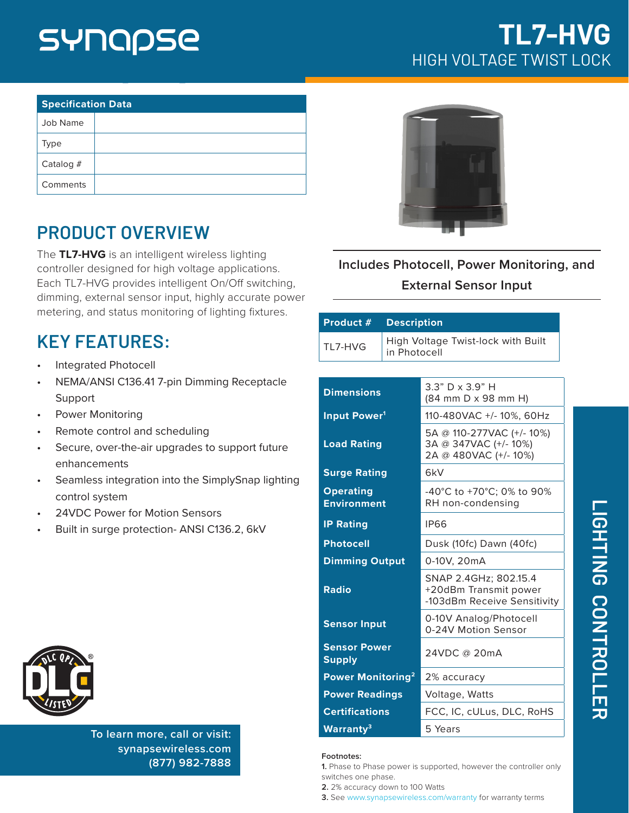## SYNQQSE

| <b>Specification Data</b> |  |  |
|---------------------------|--|--|
| Job Name                  |  |  |
| Type                      |  |  |
| Catalog $#$               |  |  |
| Comments                  |  |  |

## **PRODUCT OVERVIEW**

The **TL7-HVG** is an intelligent wireless lighting controller designed for high voltage applications. Each TL7-HVG provides intelligent On/Off switching, dimming, external sensor input, highly accurate power metering, and status monitoring of lighting fixtures.

### **KEY FEATURES:**

- Integrated Photocell
- NEMA/ANSI C136.41 7-pin Dimming Receptacle Support
- Power Monitoring
- Remote control and scheduling
- Secure, over-the-air upgrades to support future enhancements
- Seamless integration into the SimplySnap lighting control system
- 24VDC Power for Motion Sensors
- Built in surge protection- ANSI C136.2, 6kV



**To learn more, call or visit: [synapsewireless.com](http://www.synapse-wireless.com) (877) 982-7888**

## **TL7-HVG** HIGH VOLTAGE TWIST LOCK



**Includes Photocell, Power Monitoring, and External Sensor Input**

| Product #                              | <b>Description</b>                                 |                                                                               |
|----------------------------------------|----------------------------------------------------|-------------------------------------------------------------------------------|
| TI 7-HVG                               | High Voltage Twist-lock with Built<br>in Photocell |                                                                               |
|                                        |                                                    |                                                                               |
| <b>Dimensions</b>                      |                                                    | 3.3" D x 3.9" H<br>(84 mm D x 98 mm H)                                        |
| Input Power <sup>1</sup>               |                                                    | 110-480VAC +/- 10%, 60Hz                                                      |
| <b>Load Rating</b>                     |                                                    | 5A @ 110-277VAC (+/- 10%)<br>3A @ 347VAC (+/-10%)<br>2A @ 480VAC (+/-10%)     |
| <b>Surge Rating</b>                    |                                                    | 6kV                                                                           |
| <b>Operating</b><br><b>Environment</b> |                                                    | -40°C to +70°C; 0% to 90%<br>RH non-condensing                                |
| <b>IP Rating</b>                       |                                                    | <b>IP66</b>                                                                   |
| <b>Photocell</b>                       |                                                    | Dusk (10fc) Dawn (40fc)                                                       |
| <b>Dimming Output</b>                  |                                                    | 0-10V, 20mA                                                                   |
| <b>Radio</b>                           |                                                    | SNAP 2.4GHz; 802.15.4<br>+20dBm Transmit power<br>-103dBm Receive Sensitivity |
| <b>Sensor Input</b>                    |                                                    | 0-10V Analog/Photocell<br>0-24V Motion Sensor                                 |
| <b>Sensor Power</b><br><b>Supply</b>   |                                                    | 24VDC @ 20mA                                                                  |
| Power Monitoring <sup>2</sup>          |                                                    | 2% accuracy                                                                   |
| <b>Power Readings</b>                  |                                                    | Voltage, Watts                                                                |

#### **Footnotes:**

**1.** Phase to Phase power is supported, however the controller only switches one phase.

**Certifications** FCC, IC, cULus, DLC, RoHS

**2.** 2% accuracy down to 100 Watts

Warranty<sup>3</sup> 5 Years

**3.** See www.synapsewireless.com/warranty for warranty terms